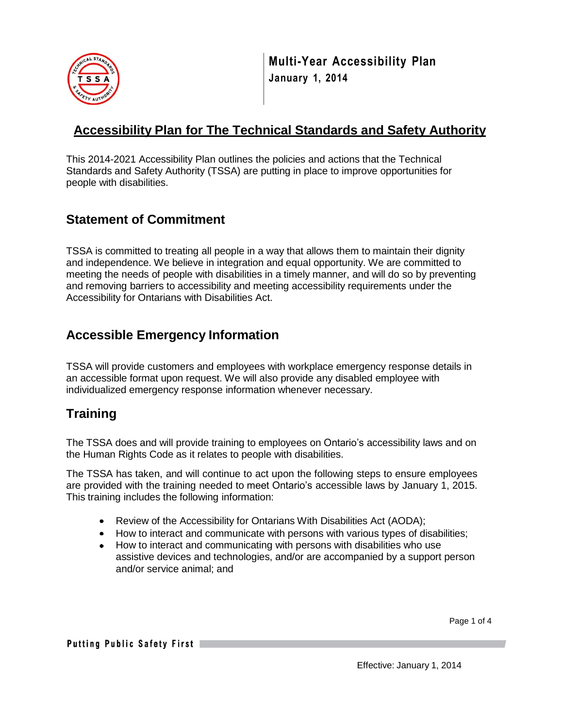

**Multi-Year Accessibility Plan January 1, 2014**

### **Accessibility Plan for The Technical Standards and Safety Authority**

This 2014-2021 Accessibility Plan outlines the policies and actions that the Technical Standards and Safety Authority (TSSA) are putting in place to improve opportunities for people with disabilities.

## **Statement of Commitment**

TSSA is committed to treating all people in a way that allows them to maintain their dignity and independence. We believe in integration and equal opportunity. We are committed to meeting the needs of people with disabilities in a timely manner, and will do so by preventing and removing barriers to accessibility and meeting accessibility requirements under the Accessibility for Ontarians with Disabilities Act.

# **Accessible Emergency Information**

TSSA will provide customers and employees with workplace emergency response details in an accessible format upon request. We will also provide any disabled employee with individualized emergency response information whenever necessary.

# **Training**

The TSSA does and will provide training to employees on Ontario's accessibility laws and on the Human Rights Code as it relates to people with disabilities.

The TSSA has taken, and will continue to act upon the following steps to ensure employees are provided with the training needed to meet Ontario's accessible laws by January 1, 2015. This training includes the following information:

- Review of the Accessibility for Ontarians With Disabilities Act (AODA);
- How to interact and communicate with persons with various types of disabilities;
- How to interact and communicating with persons with disabilities who use assistive devices and technologies, and/or are accompanied by a support person and/or service animal; and

Page 1 of 4

Putting Public Safety First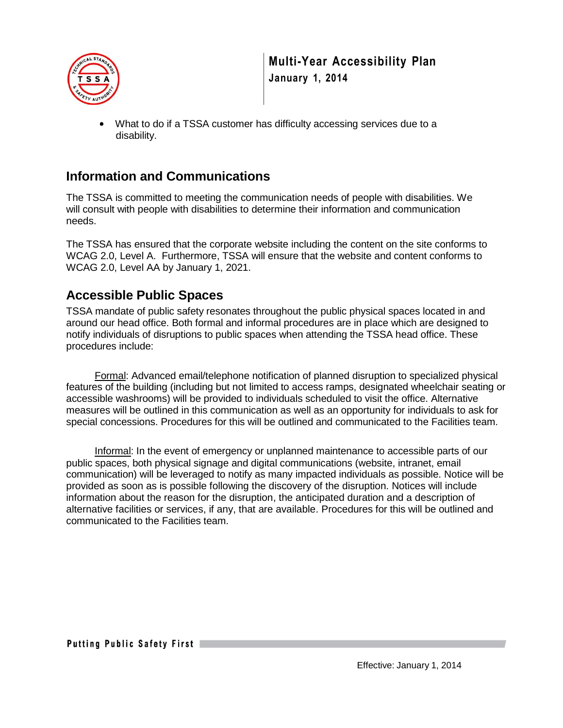

 What to do if a TSSA customer has difficulty accessing services due to a disability.

#### **Information and Communications**

The TSSA is committed to meeting the communication needs of people with disabilities. We will consult with people with disabilities to determine their information and communication needs.

The TSSA has ensured that the corporate website including the content on the site conforms to WCAG 2.0, Level A. Furthermore, TSSA will ensure that the website and content conforms to WCAG 2.0, Level AA by January 1, 2021.

## **Accessible Public Spaces**

TSSA mandate of public safety resonates throughout the public physical spaces located in and around our head office. Both formal and informal procedures are in place which are designed to notify individuals of disruptions to public spaces when attending the TSSA head office. These procedures include:

Formal: Advanced email/telephone notification of planned disruption to specialized physical features of the building (including but not limited to access ramps, designated wheelchair seating or accessible washrooms) will be provided to individuals scheduled to visit the office. Alternative measures will be outlined in this communication as well as an opportunity for individuals to ask for special concessions. Procedures for this will be outlined and communicated to the Facilities team.

Informal: In the event of emergency or unplanned maintenance to accessible parts of our public spaces, both physical signage and digital communications (website, intranet, email communication) will be leveraged to notify as many impacted individuals as possible. Notice will be provided as soon as is possible following the discovery of the disruption. Notices will include information about the reason for the disruption, the anticipated duration and a description of alternative facilities or services, if any, that are available. Procedures for this will be outlined and communicated to the Facilities team.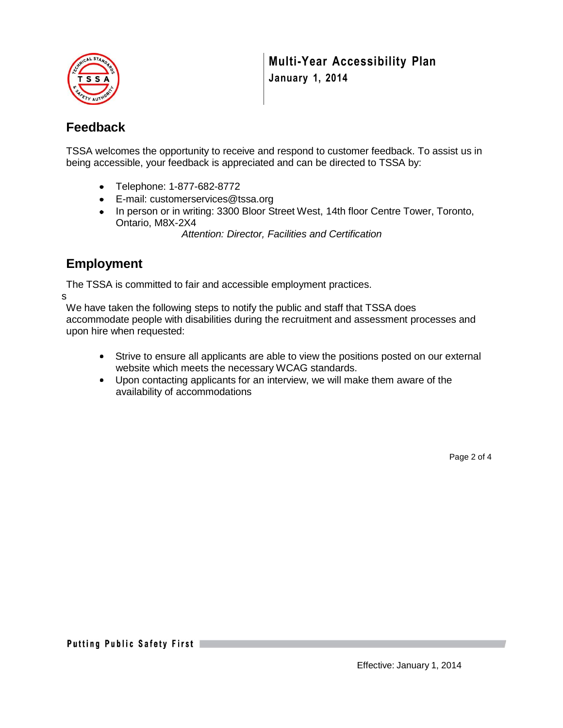

### **Feedback**

TSSA welcomes the opportunity to receive and respond to customer feedback. To assist us in being accessible, your feedback is appreciated and can be directed to TSSA by:

- Telephone: 1-877-682-8772
- E-mail: [customerservices@tssa.org](mailto:customerservices@tssa.org)
- In person or in writing: 3300 Bloor Street West, 14th floor Centre Tower, Toronto, Ontario, M8X-2X4

*Attention: Director, Facilities and Certification*

## **Employment**

The TSSA is committed to fair and accessible employment practices.

s

We have taken the following steps to notify the public and staff that TSSA does accommodate people with disabilities during the recruitment and assessment processes and upon hire when requested:

- Strive to ensure all applicants are able to view the positions posted on our external website which meets the necessary WCAG standards.
- Upon contacting applicants for an interview, we will make them aware of the availability of accommodations

Page 2 of 4

Putting Public Safety First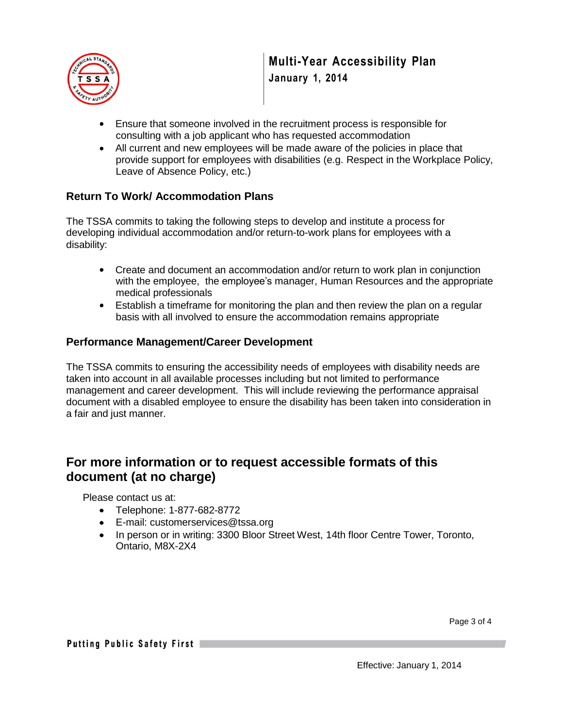

- Ensure that someone involved in the recruitment process is responsible for consulting with a job applicant who has requested accommodation
- All current and new employees will be made aware of the policies in place that provide support for employees with disabilities (e.g. Respect in the Workplace Policy, Leave of Absence Policy, etc.)

#### **Return To Work/ Accommodation Plans**

The TSSA commits to taking the following steps to develop and institute a process for developing individual accommodation and/or return-to-work plans for employees with a disability:

- Create and document an accommodation and/or return to work plan in conjunction with the employee, the employee's manager, Human Resources and the appropriate medical professionals
- Establish a timeframe for monitoring the plan and then review the plan on a regular basis with all involved to ensure the accommodation remains appropriate

#### **Performance Management/Career Development**

The TSSA commits to ensuring the accessibility needs of employees with disability needs are taken into account in all available processes including but not limited to performance management and career development. This will include reviewing the performance appraisal document with a disabled employee to ensure the disability has been taken into consideration in a fair and just manner.

#### **For more information or to request accessible formats of this document (at no charge)**

Please contact us at:

- Telephone: 1-877-682-8772
- E-mail: [customerservices@tssa.org](mailto:customerservices@tssa.org)
- In person or in writing: 3300 Bloor Street West, 14th floor Centre Tower, Toronto, Ontario, M8X-2X4

Page 3 of 4

Putting Public Safety First

Effective: January 1, 2014